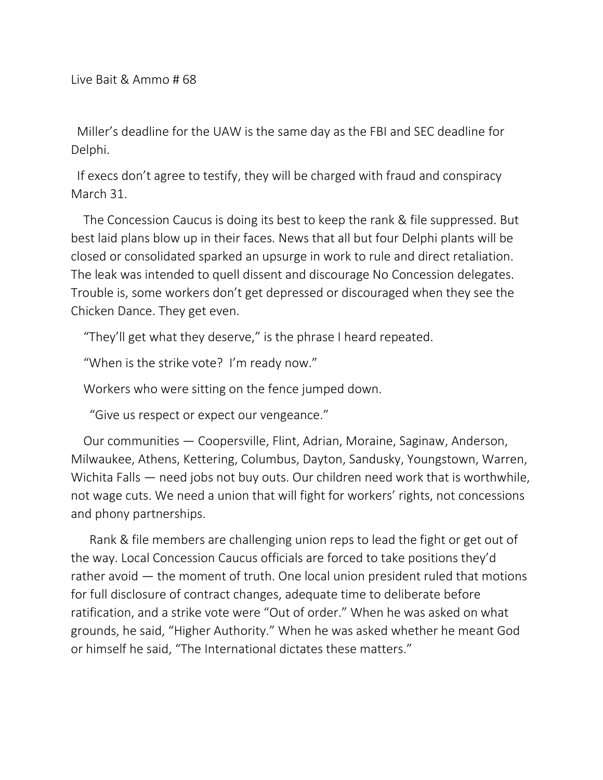Miller's deadline for the UAW is the same day as the FBI and SEC deadline for Delphi.

If execs don't agree to testify, they will be charged with fraud and conspiracy March 31.

The Concession Caucus is doing its best to keep the rank & file suppressed. But best laid plans blow up in their faces. News that all but four Delphi plants will be closed or consolidated sparked an upsurge in work to rule and direct retaliation. The leak was intended to quell dissent and discourage No Concession delegates. Trouble is, some workers don't get depressed or discouraged when they see the Chicken Dance. They get even.

"They'll get what they deserve," is the phrase I heard repeated.

"When is the strike vote? I'm ready now."

Workers who were sitting on the fence jumped down.

"Give us respect or expect our vengeance."

Our communities — Coopersville, Flint, Adrian, Moraine, Saginaw, Anderson, Milwaukee, Athens, Kettering, Columbus, Dayton, Sandusky, Youngstown, Warren, Wichita Falls — need jobs not buy outs. Our children need work that is worthwhile, not wage cuts. We need a union that will fight for workers' rights, not concessions and phony partnerships.

Rank & file members are challenging union reps to lead the fight or get out of the way. Local Concession Caucus officials are forced to take positions they'd rather avoid — the moment of truth. One local union president ruled that motions for full disclosure of contract changes, adequate time to deliberate before ratification, and a strike vote were "Out of order." When he was asked on what grounds, he said, "Higher Authority." When he was asked whether he meant God or himself he said, "The International dictates these matters."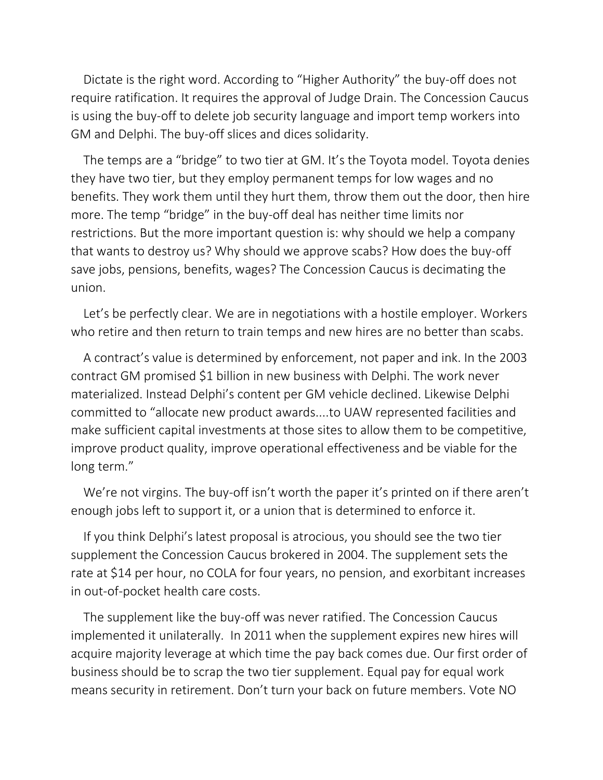Dictate is the right word. According to "Higher Authority" the buy-off does not require ratification. It requires the approval of Judge Drain. The Concession Caucus is using the buy-off to delete job security language and import temp workers into GM and Delphi. The buy-off slices and dices solidarity.

The temps are a "bridge" to two tier at GM. It's the Toyota model. Toyota denies they have two tier, but they employ permanent temps for low wages and no benefits. They work them until they hurt them, throw them out the door, then hire more. The temp "bridge" in the buy-off deal has neither time limits nor restrictions. But the more important question is: why should we help a company that wants to destroy us? Why should we approve scabs? How does the buy-off save jobs, pensions, benefits, wages? The Concession Caucus is decimating the union.

Let's be perfectly clear. We are in negotiations with a hostile employer. Workers who retire and then return to train temps and new hires are no better than scabs.

A contract's value is determined by enforcement, not paper and ink. In the 2003 contract GM promised \$1 billion in new business with Delphi. The work never materialized. Instead Delphi's content per GM vehicle declined. Likewise Delphi committed to "allocate new product awards....to UAW represented facilities and make sufficient capital investments at those sites to allow them to be competitive, improve product quality, improve operational effectiveness and be viable for the long term."

We're not virgins. The buy-off isn't worth the paper it's printed on if there aren't enough jobs left to support it, or a union that is determined to enforce it.

If you think Delphi's latest proposal is atrocious, you should see the two tier supplement the Concession Caucus brokered in 2004. The supplement sets the rate at \$14 per hour, no COLA for four years, no pension, and exorbitant increases in out-of-pocket health care costs.

The supplement like the buy-off was never ratified. The Concession Caucus implemented it unilaterally. In 2011 when the supplement expires new hires will acquire majority leverage at which time the pay back comes due. Our first order of business should be to scrap the two tier supplement. Equal pay for equal work means security in retirement. Don't turn your back on future members. Vote NO